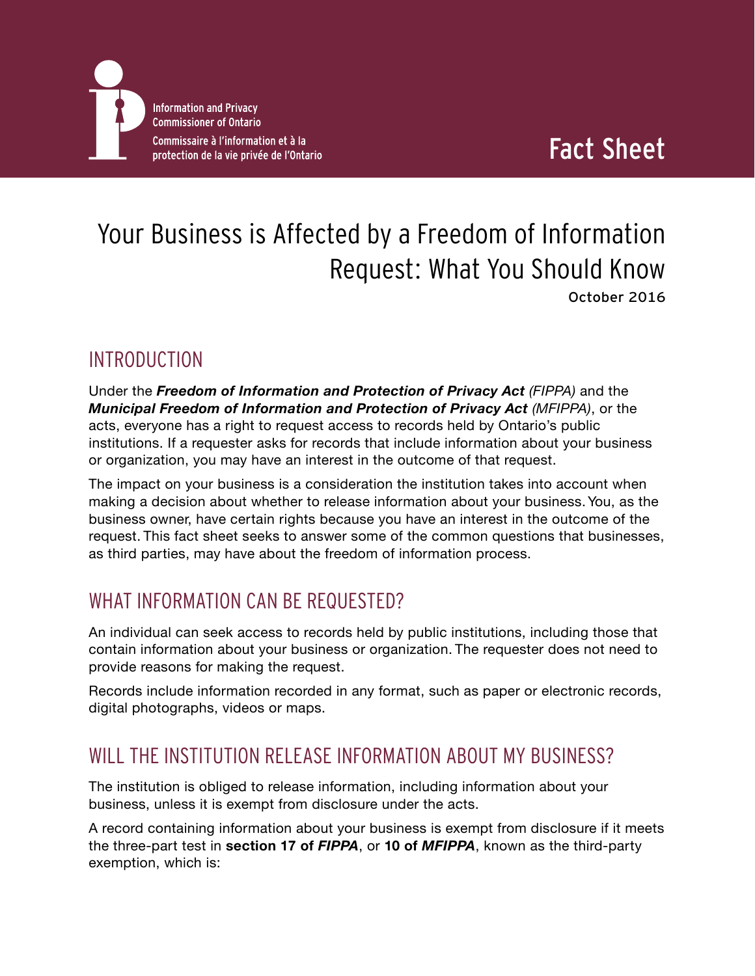

# Fact Sheet

## Your Business is Affected by a Freedom of Information Request: What You Should Know October 2016

#### INTRODUCTION

Under the *[Freedom of Information and Protection of Privacy Act](https://www.ontario.ca/laws/statute/90f31) (FIPPA)* and the *[Municipal Freedom of Information and Protection of Privacy Act](https://www.ontario.ca/laws/statute/90m56) (MFIPPA)*, or the acts, everyone has a right to request access to records held by Ontario's public institutions. If a requester asks for records that include information about your business or organization, you may have an interest in the outcome of that request.

The impact on your business is a consideration the institution takes into account when making a decision about whether to release information about your business. You, as the business owner, have certain rights because you have an interest in the outcome of the request. This fact sheet seeks to answer some of the common questions that businesses, as third parties, may have about the freedom of information process.

## WHAT INFORMATION CAN BE REQUESTED?

An individual can seek access to records held by public institutions, including those that contain information about your business or organization. The requester does not need to provide reasons for making the request.

Records include information recorded in any format, such as paper or electronic records, digital photographs, videos or maps.

#### WILL THE INSTITUTION RELEASE INFORMATION ABOUT MY BUSINESS?

The institution is obliged to release information, including information about your business, unless it is exempt from disclosure under the acts.

A record containing information about your business is exempt from disclosure if it meets the three-part test in **[section 17 of](https://www.ontario.ca/laws/statute/90f31#BK24)** *FIPPA*, or **10 of** *[MFIPPA](https://www.ontario.ca/laws/statute/90m56#BK15)*, known as the third-party exemption, which is: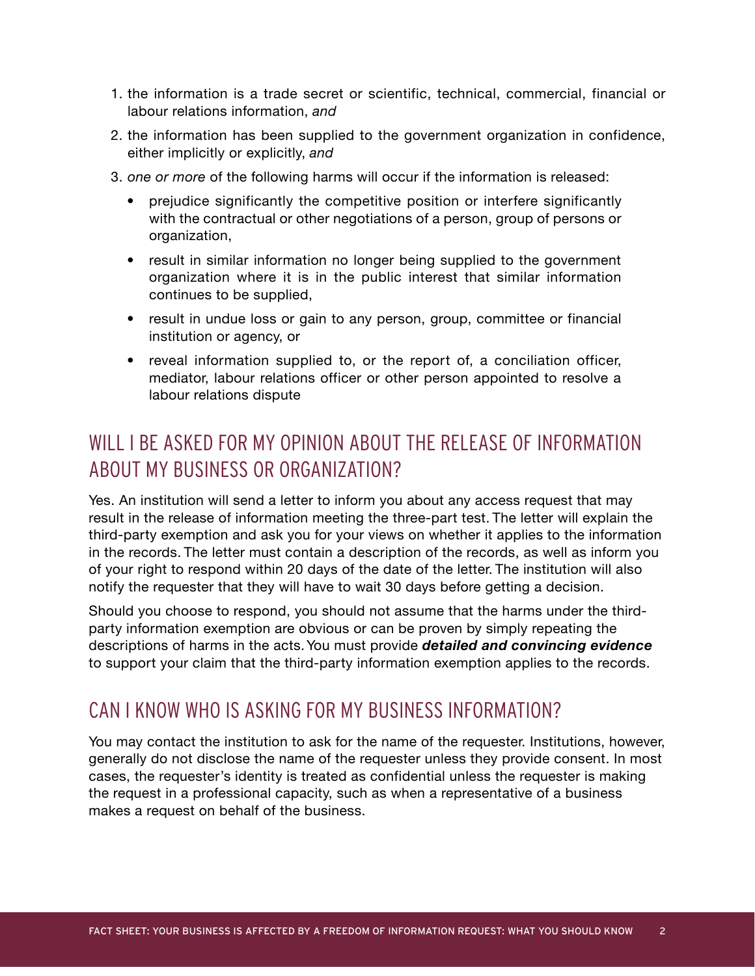- 1. the information is a trade secret or scientific, technical, commercial, financial or labour relations information, *and*
- 2. the information has been supplied to the government organization in confidence, either implicitly or explicitly, *and*
- 3. *one or more* of the following harms will occur if the information is released:
	- prejudice significantly the competitive position or interfere significantly with the contractual or other negotiations of a person, group of persons or organization,
	- result in similar information no longer being supplied to the government organization where it is in the public interest that similar information continues to be supplied,
	- result in undue loss or gain to any person, group, committee or financial institution or agency, or
	- reveal information supplied to, or the report of, a conciliation officer, mediator, labour relations officer or other person appointed to resolve a labour relations dispute

## WILL LBE ASKED FOR MY OPINION ABOUT THE RELEASE OF INFORMATION ABOUT MY BUSINESS OR ORGANIZATION?

Yes. An institution will send a letter to inform you about any access request that may result in the release of information meeting the three-part test. The letter will explain the third-party exemption and ask you for your views on whether it applies to the information in the records. The letter must contain a description of the records, as well as inform you of your right to respond within 20 days of the date of the letter. The institution will also notify the requester that they will have to wait 30 days before getting a decision.

Should you choose to respond, you should not assume that the harms under the thirdparty information exemption are obvious or can be proven by simply repeating the descriptions of harms in the acts. You must provide *detailed and convincing evidence* to support your claim that the third-party information exemption applies to the records.

#### CAN I KNOW WHO IS ASKING FOR MY BUSINESS INFORMATION?

You may contact the institution to ask for the name of the requester. Institutions, however, generally do not disclose the name of the requester unless they provide consent. In most cases, the requester's identity is treated as confidential unless the requester is making the request in a professional capacity, such as when a representative of a business makes a request on behalf of the business.